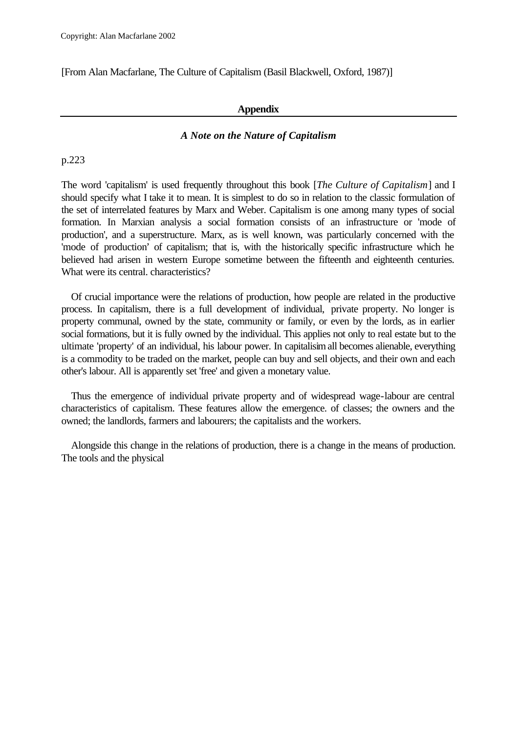[From Alan Macfarlane, The Culture of Capitalism (Basil Blackwell, Oxford, 1987)]

### **Appendix**

# *A Note on the Nature of Capitalism*

p.223

The word 'capitalism' is used frequently throughout this book [*The Culture of Capitalism*] and I should specify what I take it to mean. It is simplest to do so in relation to the classic formulation of the set of interrelated features by Marx and Weber. Capitalism is one among many types of social formation. In Marxian analysis a social formation consists of an infrastructure or 'mode of production', and a superstructure. Marx, as is well known, was particularly concerned with the 'mode of production' of capitalism; that is, with the historically specific infrastructure which he believed had arisen in western Europe sometime between the fifteenth and eighteenth centuries. What were its central. characteristics?

Of crucial importance were the relations of production, how people are related in the productive process. In capitalism, there is a full development of individual, private property. No longer is property communal, owned by the state, community or family, or even by the lords, as in earlier social formations, but it is fully owned by the individual. This applies not only to real estate but to the ultimate 'property' of an individual, his labour power. In capitalisim all becomes alienable, everything is a commodity to be traded on the market, people can buy and sell objects, and their own and each other's labour. All is apparently set 'free' and given a monetary value.

Thus the emergence of individual private property and of widespread wage-labour are central characteristics of capitalism. These features allow the emergence. of classes; the owners and the owned; the landlords, farmers and labourers; the capitalists and the workers.

Alongside this change in the relations of production, there is a change in the means of production. The tools and the physical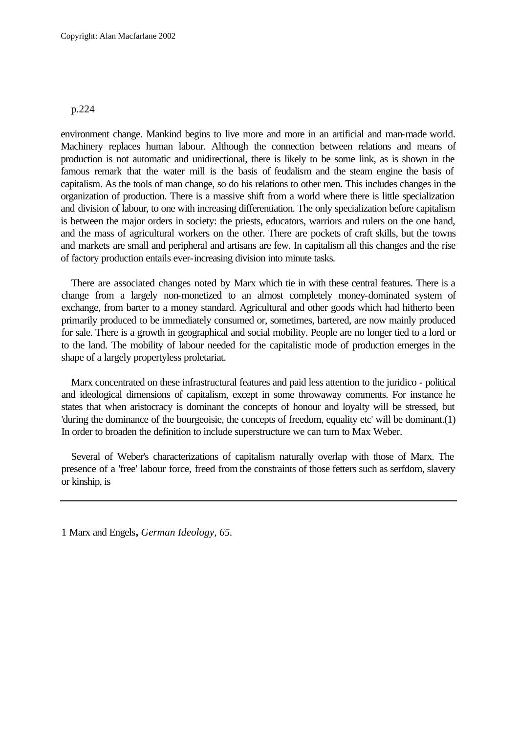environment change. Mankind begins to live more and more in an artificial and man-made world. Machinery replaces human labour. Although the connection between relations and means of production is not automatic and unidirectional, there is likely to be some link, as is shown in the famous remark that the water mill is the basis of feudalism and the steam engine the basis of capitalism. As the tools of man change, so do his relations to other men. This includes changes in the organization of production. There is a massive shift from a world where there is little specialization and division of labour, to one with increasing differentiation. The only specialization before capitalism is between the major orders in society: the priests, educators, warriors and rulers on the one hand, and the mass of agricultural workers on the other. There are pockets of craft skills, but the towns and markets are small and peripheral and artisans are few. In capitalism all this changes and the rise of factory production entails ever-increasing division into minute tasks.

There are associated changes noted by Marx which tie in with these central features. There is a change from a largely non-monetized to an almost completely money-dominated system of exchange, from barter to a money standard. Agricultural and other goods which had hitherto been primarily produced to be immediately consumed or, sometimes, bartered, are now mainly produced for sale. There is a growth in geographical and social mobility. People are no longer tied to a lord or to the land. The mobility of labour needed for the capitalistic mode of production emerges in the shape of a largely propertyless proletariat.

Marx concentrated on these infrastructural features and paid less attention to the juridico - political and ideological dimensions of capitalism, except in some throwaway comments. For instance he states that when aristocracy is dominant the concepts of honour and loyalty will be stressed, but 'during the dominance of the bourgeoisie, the concepts of freedom, equality etc' will be dominant.(1) In order to broaden the definition to include superstructure we can turn to Max Weber.

Several of Weber's characterizations of capitalism naturally overlap with those of Marx. The presence of a 'free' labour force, freed from the constraints of those fetters such as serfdom, slavery or kinship, is

1 Marx and Engels**,** *German Ideology, 65.*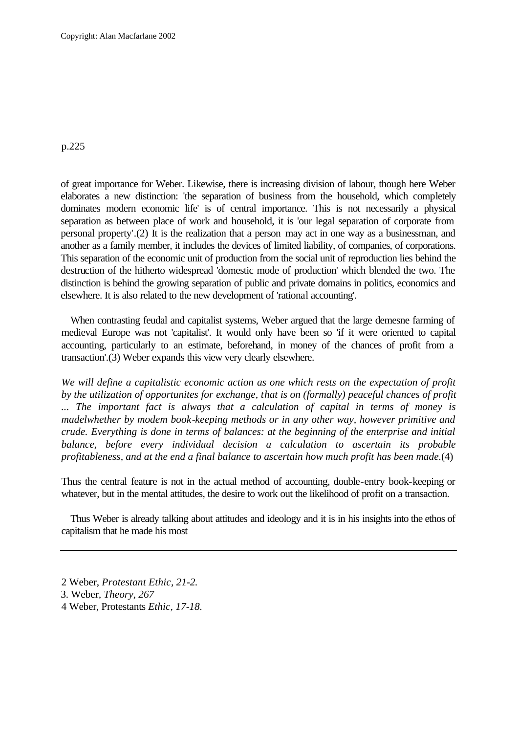of great importance for Weber. Likewise, there is increasing division of labour, though here Weber elaborates a new distinction: 'the separation of business from the household, which completely dominates modern economic life' is of central importance. This is not necessarily a physical separation as between place of work and household, it is 'our legal separation of corporate from personal property'.(2) It is the realization that a person may act in one way as a businessman, and another as a family member, it includes the devices of limited liability, of companies, of corporations. This separation of the economic unit of production from the social unit of reproduction lies behind the destruction of the hitherto widespread 'domestic mode of production' which blended the two. The distinction is behind the growing separation of public and private domains in politics, economics and elsewhere. It is also related to the new development of 'rational accounting'.

When contrasting feudal and capitalist systems, Weber argued that the large demesne farming of medieval Europe was not 'capitalist'. It would only have been so 'if it were oriented to capital accounting, particularly to an estimate, beforehand, in money of the chances of profit from a transaction'.(3) Weber expands this view very clearly elsewhere.

*We will define a capitalistic economic action as one which rests on the expectation of profit by the utilization of opportunites for exchange, that is on (formally) peaceful chances of profit ... The important fact is always that a calculation of capital in terms of money is madelwhether by modem book-keeping methods or in any other way, however primitive and crude. Everything is done in terms of balances: at the beginning of the enterprise and initial balance, before every individual decision a calculation to ascertain its probable profitableness, and at the end a final balance to ascertain how much profit has been made.*(4)

Thus the central feature is not in the actual method of accounting, double-entry book-keeping or whatever, but in the mental attitudes, the desire to work out the likelihood of profit on a transaction.

Thus Weber is already talking about attitudes and ideology and it is in his insights into the ethos of capitalism that he made his most

- 2 Weber, *Protestant Ethic, 21-2.*
- 3. Weber*, Theory, 267*
- 4 Weber, Protestants *Ethic, 17-18.*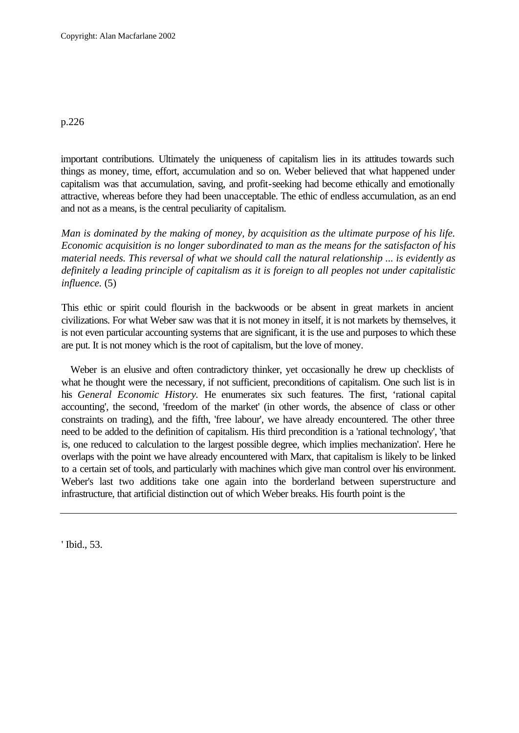important contributions. Ultimately the uniqueness of capitalism lies in its attitudes towards such things as money, time, effort, accumulation and so on. Weber believed that what happened under capitalism was that accumulation, saving, and profit-seeking had become ethically and emotionally attractive, whereas before they had been unacceptable. The ethic of endless accumulation, as an end and not as a means, is the central peculiarity of capitalism.

*Man is dominated by the making of money, by acquisition as the ultimate purpose of his life. Economic acquisition is no longer subordinated to man as the means for the satisfacton of his material needs. This reversal of what we should call the natural relationship ... is evidently as definitely a leading principle of capitalism as it is foreign to all peoples not under capitalistic influence.* (5)

This ethic or spirit could flourish in the backwoods or be absent in great markets in ancient civilizations. For what Weber saw was that it is not money in itself, it is not markets by themselves, it is not even particular accounting systems that are significant, it is the use and purposes to which these are put. It is not money which is the root of capitalism, but the love of money.

Weber is an elusive and often contradictory thinker, yet occasionally he drew up checklists of what he thought were the necessary, if not sufficient, preconditions of capitalism. One such list is in his *General Economic History.* He enumerates six such features. The first, 'rational capital accounting', the second, 'freedom of the market' (in other words, the absence of class or other constraints on trading), and the fifth, 'free labour', we have already encountered. The other three need to be added to the definition of capitalism. His third precondition is a 'rational technology', 'that is, one reduced to calculation to the largest possible degree, which implies mechanization'. Here he overlaps with the point we have already encountered with Marx, that capitalism is likely to be linked to a certain set of tools, and particularly with machines which give man control over his environment. Weber's last two additions take one again into the borderland between superstructure and infrastructure, that artificial distinction out of which Weber breaks. His fourth point is the

' Ibid., 53.